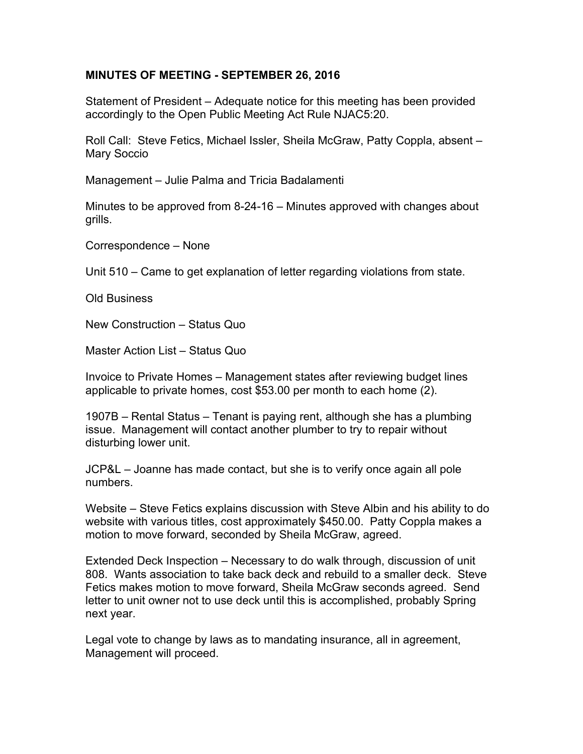## **MINUTES OF MEETING - SEPTEMBER 26, 2016**

Statement of President – Adequate notice for this meeting has been provided accordingly to the Open Public Meeting Act Rule NJAC5:20.

Roll Call: Steve Fetics, Michael Issler, Sheila McGraw, Patty Coppla, absent – Mary Soccio

Management – Julie Palma and Tricia Badalamenti

Minutes to be approved from 8-24-16 – Minutes approved with changes about grills.

Correspondence – None

Unit 510 – Came to get explanation of letter regarding violations from state.

Old Business

New Construction – Status Quo

Master Action List – Status Quo

Invoice to Private Homes – Management states after reviewing budget lines applicable to private homes, cost \$53.00 per month to each home (2).

1907B – Rental Status – Tenant is paying rent, although she has a plumbing issue. Management will contact another plumber to try to repair without disturbing lower unit.

JCP&L – Joanne has made contact, but she is to verify once again all pole numbers.

Website – Steve Fetics explains discussion with Steve Albin and his ability to do website with various titles, cost approximately \$450.00. Patty Coppla makes a motion to move forward, seconded by Sheila McGraw, agreed.

Extended Deck Inspection – Necessary to do walk through, discussion of unit 808. Wants association to take back deck and rebuild to a smaller deck. Steve Fetics makes motion to move forward, Sheila McGraw seconds agreed. Send letter to unit owner not to use deck until this is accomplished, probably Spring next year.

Legal vote to change by laws as to mandating insurance, all in agreement, Management will proceed.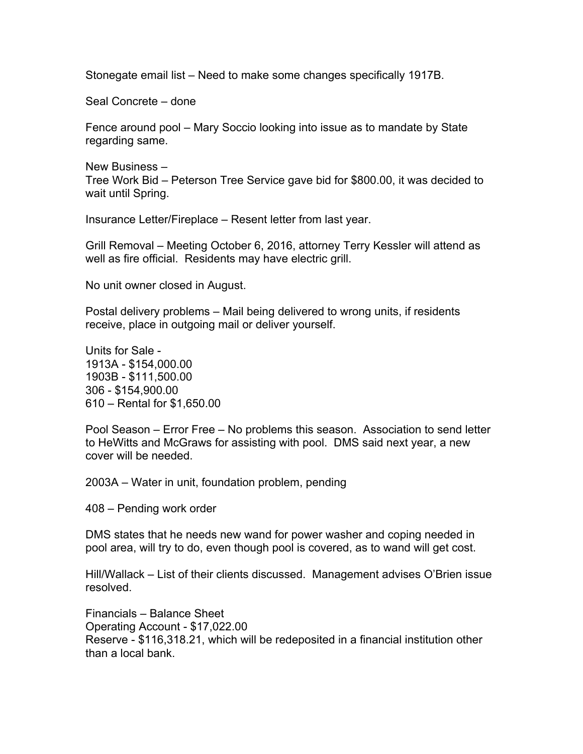Stonegate email list – Need to make some changes specifically 1917B.

Seal Concrete – done

Fence around pool – Mary Soccio looking into issue as to mandate by State regarding same.

New Business – Tree Work Bid – Peterson Tree Service gave bid for \$800.00, it was decided to wait until Spring.

Insurance Letter/Fireplace – Resent letter from last year.

Grill Removal – Meeting October 6, 2016, attorney Terry Kessler will attend as well as fire official. Residents may have electric grill.

No unit owner closed in August.

Postal delivery problems – Mail being delivered to wrong units, if residents receive, place in outgoing mail or deliver yourself.

Units for Sale - 1913A - \$154,000.00 1903B - \$111,500.00 306 - \$154,900.00 610 – Rental for \$1,650.00

Pool Season – Error Free – No problems this season. Association to send letter to HeWitts and McGraws for assisting with pool. DMS said next year, a new cover will be needed.

2003A – Water in unit, foundation problem, pending

408 – Pending work order

DMS states that he needs new wand for power washer and coping needed in pool area, will try to do, even though pool is covered, as to wand will get cost.

Hill/Wallack – List of their clients discussed. Management advises O'Brien issue resolved.

Financials – Balance Sheet Operating Account - \$17,022.00 Reserve - \$116,318.21, which will be redeposited in a financial institution other than a local bank.